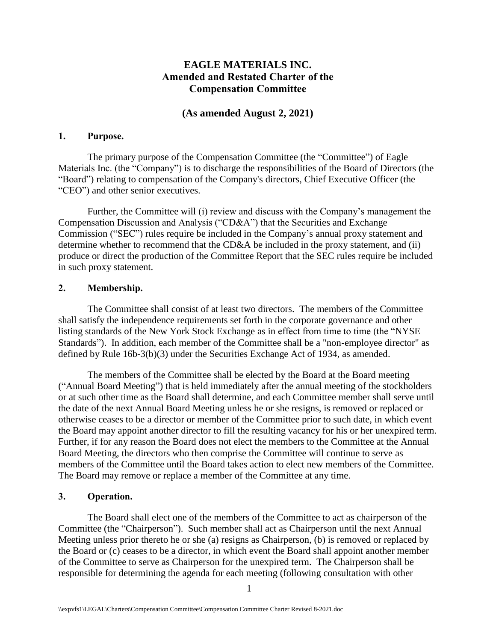# **EAGLE MATERIALS INC. Amended and Restated Charter of the Compensation Committee**

## **(As amended August 2, 2021)**

#### **1. Purpose.**

The primary purpose of the Compensation Committee (the "Committee") of Eagle Materials Inc. (the "Company") is to discharge the responsibilities of the Board of Directors (the "Board") relating to compensation of the Company's directors, Chief Executive Officer (the "CEO") and other senior executives.

Further, the Committee will (i) review and discuss with the Company's management the Compensation Discussion and Analysis ("CD&A") that the Securities and Exchange Commission ("SEC") rules require be included in the Company's annual proxy statement and determine whether to recommend that the CD&A be included in the proxy statement, and (ii) produce or direct the production of the Committee Report that the SEC rules require be included in such proxy statement.

#### **2. Membership.**

The Committee shall consist of at least two directors. The members of the Committee shall satisfy the independence requirements set forth in the corporate governance and other listing standards of the New York Stock Exchange as in effect from time to time (the "NYSE Standards"). In addition, each member of the Committee shall be a "non-employee director" as defined by Rule 16b-3(b)(3) under the Securities Exchange Act of 1934, as amended.

The members of the Committee shall be elected by the Board at the Board meeting ("Annual Board Meeting") that is held immediately after the annual meeting of the stockholders or at such other time as the Board shall determine, and each Committee member shall serve until the date of the next Annual Board Meeting unless he or she resigns, is removed or replaced or otherwise ceases to be a director or member of the Committee prior to such date, in which event the Board may appoint another director to fill the resulting vacancy for his or her unexpired term. Further, if for any reason the Board does not elect the members to the Committee at the Annual Board Meeting, the directors who then comprise the Committee will continue to serve as members of the Committee until the Board takes action to elect new members of the Committee. The Board may remove or replace a member of the Committee at any time.

## **3. Operation.**

The Board shall elect one of the members of the Committee to act as chairperson of the Committee (the "Chairperson"). Such member shall act as Chairperson until the next Annual Meeting unless prior thereto he or she (a) resigns as Chairperson, (b) is removed or replaced by the Board or (c) ceases to be a director, in which event the Board shall appoint another member of the Committee to serve as Chairperson for the unexpired term. The Chairperson shall be responsible for determining the agenda for each meeting (following consultation with other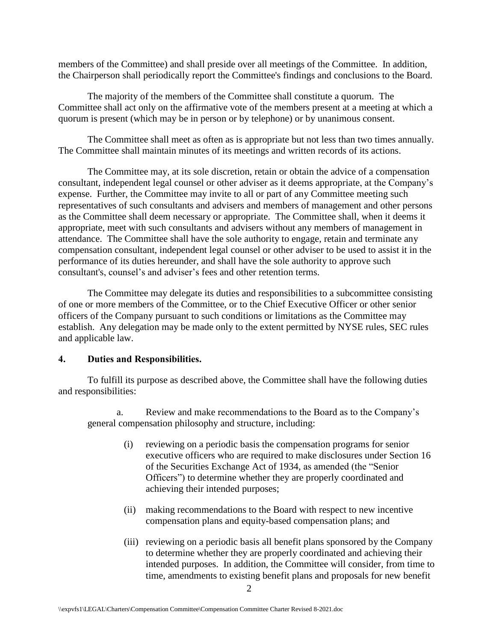members of the Committee) and shall preside over all meetings of the Committee. In addition, the Chairperson shall periodically report the Committee's findings and conclusions to the Board.

The majority of the members of the Committee shall constitute a quorum. The Committee shall act only on the affirmative vote of the members present at a meeting at which a quorum is present (which may be in person or by telephone) or by unanimous consent.

The Committee shall meet as often as is appropriate but not less than two times annually. The Committee shall maintain minutes of its meetings and written records of its actions.

The Committee may, at its sole discretion, retain or obtain the advice of a compensation consultant, independent legal counsel or other adviser as it deems appropriate, at the Company's expense. Further, the Committee may invite to all or part of any Committee meeting such representatives of such consultants and advisers and members of management and other persons as the Committee shall deem necessary or appropriate. The Committee shall, when it deems it appropriate, meet with such consultants and advisers without any members of management in attendance. The Committee shall have the sole authority to engage, retain and terminate any compensation consultant, independent legal counsel or other adviser to be used to assist it in the performance of its duties hereunder, and shall have the sole authority to approve such consultant's, counsel's and adviser's fees and other retention terms.

The Committee may delegate its duties and responsibilities to a subcommittee consisting of one or more members of the Committee, or to the Chief Executive Officer or other senior officers of the Company pursuant to such conditions or limitations as the Committee may establish. Any delegation may be made only to the extent permitted by NYSE rules, SEC rules and applicable law.

## **4. Duties and Responsibilities.**

To fulfill its purpose as described above, the Committee shall have the following duties and responsibilities:

a. Review and make recommendations to the Board as to the Company's general compensation philosophy and structure, including:

- (i) reviewing on a periodic basis the compensation programs for senior executive officers who are required to make disclosures under Section 16 of the Securities Exchange Act of 1934, as amended (the "Senior Officers") to determine whether they are properly coordinated and achieving their intended purposes;
- (ii) making recommendations to the Board with respect to new incentive compensation plans and equity-based compensation plans; and
- (iii) reviewing on a periodic basis all benefit plans sponsored by the Company to determine whether they are properly coordinated and achieving their intended purposes. In addition, the Committee will consider, from time to time, amendments to existing benefit plans and proposals for new benefit